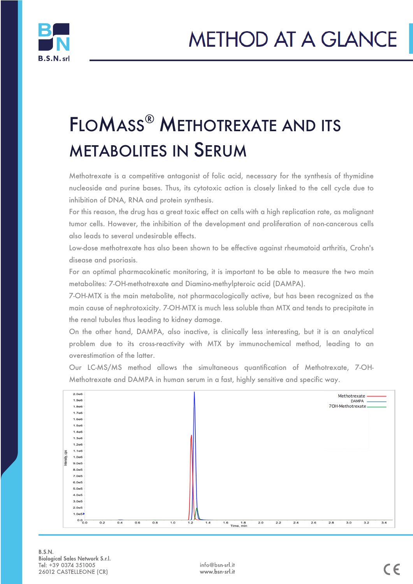

# FLOMASS® METHOTREXATE AND ITS METABOLITES IN SERUM

Methotrexate is a competitive antagonist of folic acid, necessary for the synthesis of thymidine nucleoside and purine bases. Thus, its cytotoxic action is closely linked to the cell cycle due to inhibition of DNA, RNA and protein synthesis.

For this reason, the drug has a great toxic effect on cells with a high replication rate, as malignant tumor cells. However, the inhibition of the development and proliferation of non-cancerous cells also leads to several undesirable effects.

Low-dose methotrexate has also been shown to be effective against rheumatoid arthritis, Crohn's disease and psoriasis.

For an optimal pharmacokinetic monitoring, it is important to be able to measure the two main metabolites: 7-OH-methotrexate and Diamino-methylpteroic acid (DAMPA).

7-OH-MTX is the main metabolite, not pharmacologically active, but has been recognized as the main cause of nephrotoxicity. 7-OH-MTX is much less soluble than MTX and tends to precipitate in the renal tubules thus leading to kidney damage.

On the other hand, DAMPA, also inactive, is clinically less interesting, but it is an analytical problem due to its cross-reactivity with MTX by immunochemical method, leading to an overestimation of the latter.

Our LC-MS/MS method allows the simultaneous quantification of Methotrexate, 7-OH-Methotrexate and DAMPA in human serum in a fast, highly sensitive and specific way.